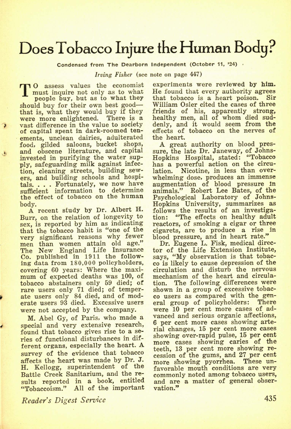## Does Tobacco Injure the Human Body?

**Condensed from The Dearborn Independent (October 11, '24) •** 

*Irving Fisher* (see note on page 447)

**T O** assess values the economist<br>
must inquire not only as to what<br>
they buy, but as to what they<br>
double buy for their cup hest good **must inquire not only as to what people buy, but as to what they should buy for their own best good that is, what they would buy if they were more enlightened. There is a vast difference in the value to society**  of capital spent in dark-roomed ten**ements, unclean dairies, adulterated food, gilded saloons, bucket shops, and obscene literature, and capital invested in purifying the water supply, safeguarding milk against infection, cleaning streets, building sewers, and building schools and hospitals. . . . Fortunately, we now have sufficient information to determine the effect of tobacco on the human body.** 

**A recent study by Dr. Albert H. Burr, on the relation of longevity to sex, is reported by him as indicating that the tobacco habit is "one of the very significant reasons why fewer men than women attain old age." The New England Life Insurance Co. published in 1911 the following data from 180,000 policyholders, covering 60 years: Where the maximum of expected deaths was 100, of tobacco abstainers only 59 died; of rare users only 71 died; of temperate users only 84 died, and of moderate users 93 died. Excessive users were not accepted by the company.** 

**M. Abel Gy, of Paris, who made a special and very extensive research, found that tobacco gives rise to a series of functional disturbances in different organs, especially the heart. A survey of the evidence that tobacco affects the heart was made by Dr. J. H. Kellogg, superintendent of the Battle Creek Sanitarium, and the results reported in a book, entitled "Tobaccoism." All of the important** 

*Reader's Digest Service* 

**experiments were reviewed by him. He found that every authority agrees that tobacco is a heart poison. Sir William Osier cited the cases of three friends of his, apparently strong, healthy men, all of whom died suddenly, and it would seem from the effects of tobacco on the nerves of the heart.** 

**A great authority on blood pressure, the late Dr. Janeway, of Johns-Hopkins Hospital, stated: "Tobacco has a powerful action on the circulation. Nicotine, in less than overwhelming dose, produces an immense augmentation of blood pressure In animals." Robert Lee Bates, of the Psychological Laboratory of Johns-Hopkins University, summarizes^ as follows the results of an investigation: "The effects on healthy adult reactors, of smoking a cigar or three cigarets, are to produce a rise in blood pressure, and in heart rate."** 

**Dr. Eugene L. Fisk, medical director of the Life Extension Institute, says, "My observation is that tobacco is likely to cause depression of the circulation and disturb the nervous mechanism of the heart and circulation. The following differences were shown in a group of excessive tobacco users as compared with the general group of policyholders: There were 10 per cent more cases of advanced and serious organic affections, 6 per cent more cases showing arterial changes, 15 per cent more cases**  showing over-rapid pulse, 15 per cent **more cases showing caries of the teeth, 13 per cent more showing recession of the gums, and 27 per cent more showing pyorrhea. These unfavorable mouth conditions are very commonly noted among tobacco users, and are a matter of general observation."**